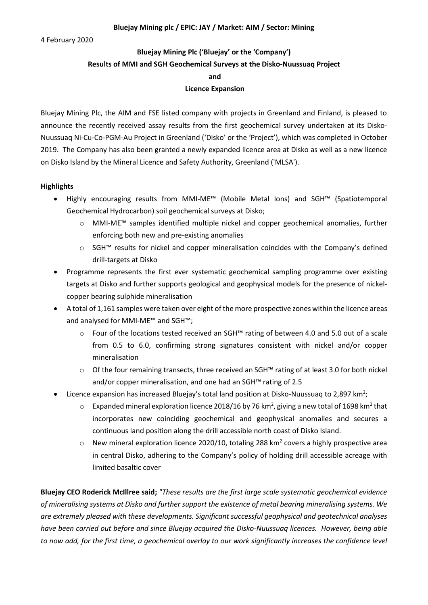4 February 2020

# **Bluejay Mining Plc ('Bluejay' or the 'Company') Results of MMI and SGH Geochemical Surveys at the Disko-Nuussuaq Project and Licence Expansion**

Bluejay Mining Plc, the AIM and FSE listed company with projects in Greenland and Finland, is pleased to announce the recently received assay results from the first geochemical survey undertaken at its Disko-Nuussuaq Ni-Cu-Co-PGM-Au Project in Greenland ('Disko' or the 'Project'), which was completed in October 2019. The Company has also been granted a newly expanded licence area at Disko as well as a new licence on Disko Island by the Mineral Licence and Safety Authority, Greenland ('MLSA').

# **Highlights**

- Highly encouraging results from MMI-ME™ (Mobile Metal Ions) and SGH™ (Spatiotemporal Geochemical Hydrocarbon) soil geochemical surveys at Disko;
	- o MMI-ME™ samples identified multiple nickel and copper geochemical anomalies, further enforcing both new and pre-existing anomalies
	- o SGH™ results for nickel and copper mineralisation coincides with the Company's defined drill-targets at Disko
- Programme represents the first ever systematic geochemical sampling programme over existing targets at Disko and further supports geological and geophysical models for the presence of nickelcopper bearing sulphide mineralisation
- A total of 1,161 samples were taken over eight of the more prospective zones within the licence areas and analysed for MMI-ME™ and SGH™;
	- o Four of the locations tested received an SGH™ rating of between 4.0 and 5.0 out of a scale from 0.5 to 6.0, confirming strong signatures consistent with nickel and/or copper mineralisation
	- o Of the four remaining transects, three received an SGH™ rating of at least 3.0 for both nickel and/or copper mineralisation, and one had an SGH™ rating of 2.5
- Licence expansion has increased Bluejay's total land position at Disko-Nuussuaq to 2,897 km<sup>2</sup>;
	- $\circ$  Expanded mineral exploration licence 2018/16 by 76 km<sup>2</sup>, giving a new total of 1698 km<sup>2</sup> that incorporates new coinciding geochemical and geophysical anomalies and secures a continuous land position along the drill accessible north coast of Disko Island.
	- $\circ$  New mineral exploration licence 2020/10, totaling 288 km<sup>2</sup> covers a highly prospective area in central Disko, adhering to the Company's policy of holding drill accessible acreage with limited basaltic cover

**Bluejay CEO Roderick McIllree said;** *"These results are the first large scale systematic geochemical evidence of mineralising systems at Disko and further support the existence of metal bearing mineralising systems. We are extremely pleased with these developments. Significant successful geophysical and geotechnical analyses have been carried out before and since Bluejay acquired the Disko-Nuussuaq licences. However, being able to now add, for the first time, a geochemical overlay to our work significantly increases the confidence level*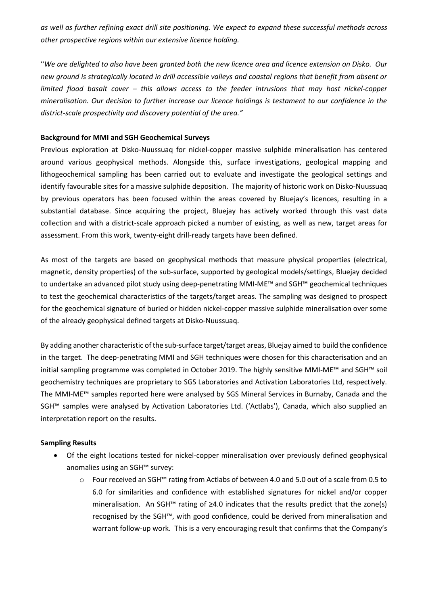*as well as further refining exact drill site positioning. We expect to expand these successful methods across other prospective regions within our extensive licence holding.*

"*We are delighted to also have been granted both the new licence area and licence extension on Disko. Our new ground is strategically located in drill accessible valleys and coastal regions that benefit from absent or limited flood basalt cover – this allows access to the feeder intrusions that may host nickel-copper mineralisation. Our decision to further increase our licence holdings is testament to our confidence in the district-scale prospectivity and discovery potential of the area."*

# **Background for MMI and SGH Geochemical Surveys**

Previous exploration at Disko-Nuussuaq for nickel-copper massive sulphide mineralisation has centered around various geophysical methods. Alongside this, surface investigations, geological mapping and lithogeochemical sampling has been carried out to evaluate and investigate the geological settings and identify favourable sites for a massive sulphide deposition. The majority of historic work on Disko-Nuussuaq by previous operators has been focused within the areas covered by Bluejay's licences, resulting in a substantial database. Since acquiring the project, Bluejay has actively worked through this vast data collection and with a district-scale approach picked a number of existing, as well as new, target areas for assessment. From this work, twenty-eight drill-ready targets have been defined.

As most of the targets are based on geophysical methods that measure physical properties (electrical, magnetic, density properties) of the sub-surface, supported by geological models/settings, Bluejay decided to undertake an advanced pilot study using deep-penetrating MMI-ME™ and SGH™ geochemical techniques to test the geochemical characteristics of the targets/target areas. The sampling was designed to prospect for the geochemical signature of buried or hidden nickel-copper massive sulphide mineralisation over some of the already geophysical defined targets at Disko-Nuussuaq.

By adding another characteristic of the sub-surface target/target areas, Bluejay aimed to build the confidence in the target. The deep-penetrating MMI and SGH techniques were chosen for this characterisation and an initial sampling programme was completed in October 2019. The highly sensitive MMI-ME™ and SGH™ soil geochemistry techniques are proprietary to SGS Laboratories and Activation Laboratories Ltd, respectively. The MMI-ME™ samples reported here were analysed by SGS Mineral Services in Burnaby, Canada and the SGH™ samples were analysed by Activation Laboratories Ltd. ('Actlabs'), Canada, which also supplied an interpretation report on the results.

#### **Sampling Results**

- Of the eight locations tested for nickel-copper mineralisation over previously defined geophysical anomalies using an SGH™ survey:
	- o Four received an SGH™ rating from Actlabs of between 4.0 and 5.0 out of a scale from 0.5 to 6.0 for similarities and confidence with established signatures for nickel and/or copper mineralisation. An SGH™ rating of ≥4.0 indicates that the results predict that the zone(s) recognised by the SGH™, with good confidence, could be derived from mineralisation and warrant follow-up work. This is a very encouraging result that confirms that the Company's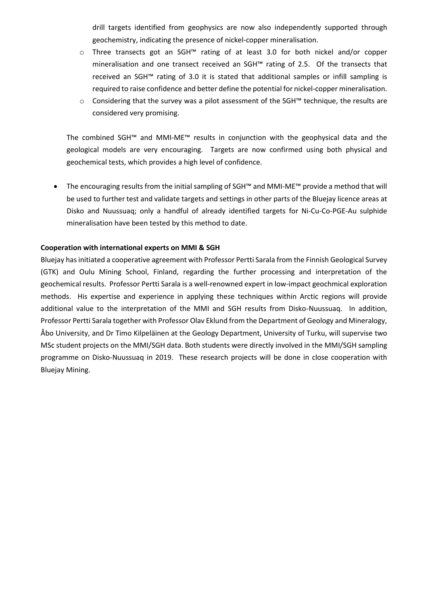drill targets identified from geophysics are now also independently supported through geochemistry, indicating the presence of nickel-copper mineralisation.

- o Three transects got an SGH™ rating of at least 3.0 for both nickel and/or copper mineralisation and one transect received an SGH™ rating of 2.5. Of the transects that received an SGH™ rating of 3.0 it is stated that additional samples or infill sampling is required to raise confidence and better define the potential for nickel-copper mineralisation.
- o Considering that the survey was a pilot assessment of the SGH™ technique, the results are considered very promising.

The combined SGH™ and MMI-ME™ results in conjunction with the geophysical data and the geological models are very encouraging. Targets are now confirmed using both physical and geochemical tests, which provides a high level of confidence.

• The encouraging results from the initial sampling of SGH™ and MMI-ME™ provide a method that will be used to further test and validate targets and settings in other parts of the Bluejay licence areas at Disko and Nuussuaq; only a handful of already identified targets for Ni-Cu-Co-PGE-Au sulphide mineralisation have been tested by this method to date.

# **Cooperation with international experts on MMI & SGH**

Bluejay has initiated a cooperative agreement with Professor Pertti Sarala from the Finnish Geological Survey (GTK) and Oulu Mining School, Finland, regarding the further processing and interpretation of the geochemical results. Professor Pertti Sarala is a well-renowned expert in low-impact geochmical exploration methods. His expertise and experience in applying these techniques within Arctic regions will provide additional value to the interpretation of the MMI and SGH results from Disko-Nuussuaq. In addition, Professor Pertti Sarala together with Professor Olav Eklund from the Department of Geology and Mineralogy, Åbo University, and Dr Timo Kilpeläinen at the Geology Department, University of Turku, will supervise two MSc student projects on the MMI/SGH data. Both students were directly involved in the MMI/SGH sampling programme on Disko-Nuussuaq in 2019. These research projects will be done in close cooperation with Bluejay Mining.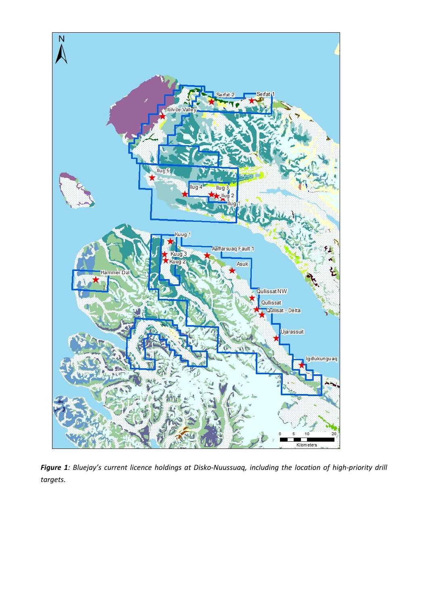

*Figure 1: Bluejay's current licence holdings at Disko-Nuussuaq, including the location of high-priority drill targets.*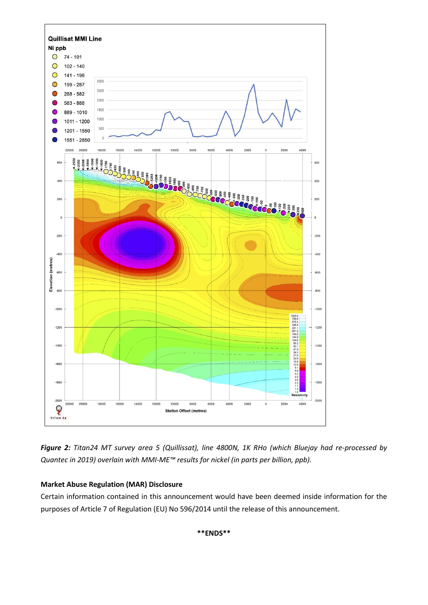

*Figure 2: Titan24 MT survey area 5 (Quillissat), line 4800N, 1K RHo (which Bluejay had re-processed by Quantec in 2019) overlain with MMI-ME™ results for nickel (in parts per billion, ppb).*

# **Market Abuse Regulation (MAR) Disclosure**

Certain information contained in this announcement would have been deemed inside information for the purposes of Article 7 of Regulation (EU) No 596/2014 until the release of this announcement.

**\*\*ENDS\*\***